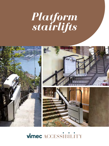# *Platform stairlifts*







# vimec ACCESSIBILITY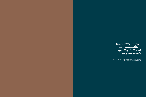### *Versatility, safety and durability: quality tailored to your needs*

MORE THAN **130.000** INSTALLATIONS ALL OVER THE WORLD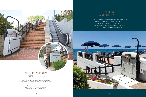### THE PLATFORM STAIRLIFTS

This range of platform stairlifts provides safe access to all private and public premises (for example offices, shops, schools, theatres, subways, etc.).

Designed for the user **comfort**, they can be used easily and safely and they provide fully independent access to the next level.





### STRONG AND RELIABLE

The V64 and V65 platform stairlifts are suitable for installation both indoor and outdoor. Thanks to the innovative design features the V64 and V65 will continue to perform, even in severe weather conditions.

**NBBH**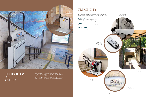$\cdot$  80000

ON-BOARD CONTROL PANEL

RETRACTING BARS

A compact platform for installation with small staircases and landings;

The V64 and V65 are designed in compliance with EN 8140, and they are available with 3 platform sizes:

#### **STANDARD**

**LARGE** To accommodate all types of wheelchair;

#### **EXTRALARGE**

To meet all transportation needs.



### TECHNOLOGY AND **SAFETY**







WIRELESS ATTENDANT CONTROL

> INDEPENDENT BARS

# FLEXIBILITY

V64 and V65 are equipped with wireless push button controls. Both the V64 and V65 are available with retractable safety arms. This allows both products to be used even in areas with a reduced headroom and in narrower spaces.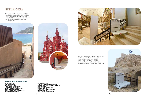The V64 and V65 have been successfully installed around the world. They have been used to overcome stairs and slopes in all types of buildings and public areas, including museums, subways, banks, restaurants and many others.









### REFERENCES

**MILAN, SAN SIRO STADIUM ROME, VATICAN MUSEUM MODENA, FERRARI MUSEUM COPENHAGEN, NATIONAL MUSEUM (DK) LONDON, WEMBLEY STADIUM (UK) MATIGNON, PRIME MINISTER RESIDENCY (FR) MADRID, SPANISH PARLIAMENT (ES) MADRID, VIRGEN DE LA CABEZA SANCTUARY (ES) WARSAW, MINISTRY OF SCIENCE (PL)**

**BELGRADE, UNIVERSITY (RS) SOCHI, 2014 OLYMPICS: 250 UNITS SUPPLIED (RU) NOVOMOSKOVSK-MOSCOW, "YUBILEYNY" ICE PALACE (RU) KAZAN, SUBWAY (TA) DUBAI, EMIRATE SHOPPING MALL (UAE) SINGAPORE, METRO (SG) JOHANNESBURG, ROSE SHOPPING MALL (ZA) MEDELLIN, SUBWAY (CO) BRASILIA, INTERNATIONAL AIRPORT (BR)**

#### **HERE SOME EXAMPLES OF INSTALLATIONS:**

With almost 40 years of design and production, the V64 and V65 stairlifts are appreciated for both their versatility and reliability. Thousands of installations worldwide have provided safe & independent access always appreciated for reliability and versatility.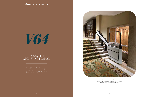### **vimec** ACCESSIBILITY

*V64*

The V64 wheelchair platform, travels on a straight rail (ideal for one flight of stairs).



Installation of the V64 is carried out in a day and does not require any building work to change the building style.

### VERSATILE AND FUNCTIONAL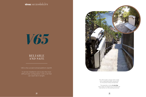### **vimec** ACCESSIBILITY



**10 11**

### RELIABLE AND SAFE

The V65 model is always tailor made, with a dedicated safety equipment for the person being transported.

The assembly is done in one day and it does not require any architectural intervention on the existing structure.

It can be installed to serve also the most difficult stair configuration, with a rail that can reach 60 m lenght.



V65 is the curved inclined platform stairlift.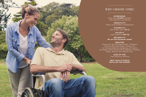**EXPERIENCE:** More than **35,000** stairlifts with platform worldwide

**VERSATILITY:** Indoor and outdoor installations

**FLEXIBILITY:** Rail length up to **60 m**

**SOLIDITY:** Load capacity **300 kg**

**RELIABILITY: We are the European leader**

**PRESTIGE:**

Chosen for the last big events: "Olympics in Sochi (RU) and Expo in Milan (IT), for the presidential residences of France and Spain and institutional buildings in Poland, Spain, Mexico and Vatican City"

> **EASE OF USE:** Few intuitive controls

# WHY CHOOSE VIMEC

**BEST QUALITY/PRICE RATIO ON THE MARKET**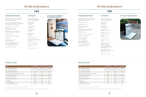### *V64 V65*

PROTECTIVE COVER (LARGE FOR OUTDOOR, SMALL FORINDOOR)

> AUTOMATED PLATFORM FOLDING

SPECIAL SIZE PLATFORM

RETRACTING BARS THAT FIT INTO THE ACTUAL BODY OF THE MACHINE (EXCLUDING 1250X800 PLATFORM)

AUDIBLE "LIFT IN MOTION" ALARM

VISUAL "LIFT IN MOTION" ALARM

INTERMEDIATE STOPS

FOLDING SEAT

REMOTE CONTROL POST

RADIO CONTROLS FOR THE ACCOMPANYING PERSON

PROTECTIVE COVER (LARGE FOR OUTDOOR, SMALL FOR INDOOR)

AUTOMATED PLATFORM FOLDING

SPECIAL SIZE PLATFORM

AUDIBLE "LIFT IN MOTION" ALARM

VISUAL "LIFT IN MOTION" ALARM

FOLDING SEAT WIRELESS CONTROLS FOR THE ACCOMPANYING

PERSON RETRACTING ARMS

REMOTE CONTROL POST

CONTROLS PROTECTED AGAINST UNINTENTIONAL USE, CONSTANT PRESSURE OPERATED

> BLACKOUT EMERGENCY BATTERY BACK UP

KEY SWITCH CONTROL ON BOTH LANDING AND CARRIAGE CONTROLS INCLUDING REMOVABLE KEYS

EMERGENCY STOP BUTTON

EMERGENCY MANUAL LOWERING DEVICE

PROGRESSIVELY OPERATED MECHANICAL SAFETY GEAR

SPEED LIMITER

AUTOMATIC SAFETY EDGES

HANDRAIL

ELECTRONIC SAFETY LIMIT SWITCHES

SHOCK-ABSORBTION DEVICE, ANTI-SHEARING DEVICE ANTI-CRUSHING DEVICES

WIRELESS CONTROLS

CONTROLS PROTECTED AGAINST UNINTENTIONAL USE, CONSTANT PRESSURE OPERATED

REMOVABLE KEY

EMERGENCY STOP

MANUAL EMERGENCY MANOEUVRE

PROGRESSIVELY OPERATED MECHANICAL SAFETY GEAR

SPEED LIMITER

AUTOMATIC SAFETY EDGES

SUPPORTING HANDLE

ELECTRIC SAFETY LIMIT SWITCHES

SHOCK-ABSORBING, ANTI-SHEARING, ANTI-CRUSHING DEVICES

### *Techical features*

#### **TECHNICAL DATA**

#### **STANDARD FEATURES OPTIONALS STANDARD FEATURES PLATFORM FOLDING**







#### **V65 WITH FOLDING SEAT**



#### **TECHNICAL DATA**

#### **OPTIONALS**

**V65 STANDARD LARGE EXTRALARGE B** TOLERATED GRADIENT FROM 7° TO 50° FROM 7° TO 50° FROM 7° TO 50° **E** PLATFORM DIMENSIONS 830x700 mm 1050x770 mm 1250x800 mm

| <b>V65</b>   |                                   | <b>STANDARD</b> | LARGE          | <b>EXTRALAR</b> |
|--------------|-----------------------------------|-----------------|----------------|-----------------|
| $\mathbf{A}$ | MINIMUM STAIR WIDTH               | 1130 mm         | 1250 mm        | 1320 mm         |
| в            | <b>TOLERATED GRADIENT</b>         | FROM 7° TO 50°  | FROM 7° TO 50° | FROM 7° TO      |
| C            | MINIMUM SIZE OF RAIL              | 160 mm          | 160 mm         | 160 mm          |
| D            | MINIMUM SIZE WITH FOLDED PLATFORM | 430 mm          | 430 mm         | 430 mm          |
| E            | PLATFORM DIMENSIONS               | 830x700 mm      | 1050x770 mm    | 1250x800 n      |
| F            | CAPACITY UP TO 45°                | 300 kg          | 300 kg         | 250 kg          |
| G            | CAPACITY BEYOND 45°               | 200 kg          | 200 kg         | 200 kg          |
| н            | SPEED                             | 8 m/min.        | 8 m/min.       | $8 m/min$ .     |
| п            | POWER SUPPLY                      | 230 V           | 230 V          | 230 V           |
| J            | POWER CONSUMPTION                 | 1 <sub>kW</sub> | 1 kW           | 1 kW            |

V64 IS REALIZED IN COMPLIANCE WITH EU 42/2006 MACHINE DIRECTIVE. COMPLET AND SECULIF AND SECULIF AND SECULIF OF A SECULIFY OF A SECULIFY OF A SECULIFY OF A SECULIFY OF A SECULIFY OF A SECULIFY OF A SECULIFY OF A SECULIFY O

THIS DATA ARE INDICATIVE AND NOT BINDING. VIMEC RESERVES THE RIGHT TO CHANGE THE SPECIFICATIONS WITHOUT PRIOR NOTIFICATION. THIS DATA ARE INDICATIVE AND NOT BINDING. VIMEC RESERVES THE RIGHT TO CHANGE THE SPECIFICATION.

| V64          |                                   | <b>STANDARD</b>              | <b>LARGE</b>     | <b>EXTRALARGE</b> |
|--------------|-----------------------------------|------------------------------|------------------|-------------------|
| $\mathbf{A}$ | MINIMUM STAIR WIDTH               | 970 mm                       | 1040 mm          | 1070 mm           |
| в            | TOLERATED GRADIENT                | FROM $7^\circ$ TO $50^\circ$ | FROM 7° TO 50°   | FROM 7° TO 50°    |
| C            | MINIMUM SIZE OF RAIL              | 100 mm                       | $100 \text{ mm}$ | 100 mm            |
| D            | MINIMUM SIZE WITH FOLDED PLATFORM | 370 mm                       | 370 mm           | 370 mm            |
| E.           | PLATFORM DIMENSIONS               | 830x700 mm                   | 1050x770 mm      | 1250x800 mm       |
| F            | CAPACITY UP TO 45°                | 300 kg                       | 300 kg           | 250 kg            |
| G            | CAPACITY BEYOND 45°               | 200 kg                       | 200 kg           | 200 kg            |
| н            | SPEED                             | 5 m/min.                     | 5 m/min.         | 5 m/min.          |
|              | POWER SUPPLY                      | 230 V                        | 230 V            | 230 V             |
| J            | POWER CONSUMPTION                 | 0.75 kW                      | 0.75 kW          | 0.75 kW           |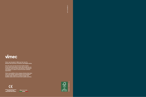**ART: KALIMERA.IT**

ART: KALIMERA.IT

# vimec

**Vimec was founded in 1980 near the river Po, between the provinces of Mantova and Reggio Emilia.**

**Over the years we have become leaders thanks to the values that guide us every day: people are our customers, whom we deal with passion, commitment and integrity, in order to ensure the best customer experience.**

**Vimec Accessibility is the company division that takes care of the design, implementation and installation of tailor-made solutions to support people with mobility needs, both at home and in public premises.**

 $\epsilon$ AZIENDA CON SISTEMA QUALITÀ<br>CERTIFICATO DA DNV<br>**= UNI EN ISO 9001/2008 =** 





**7510104-01092019 440/O**